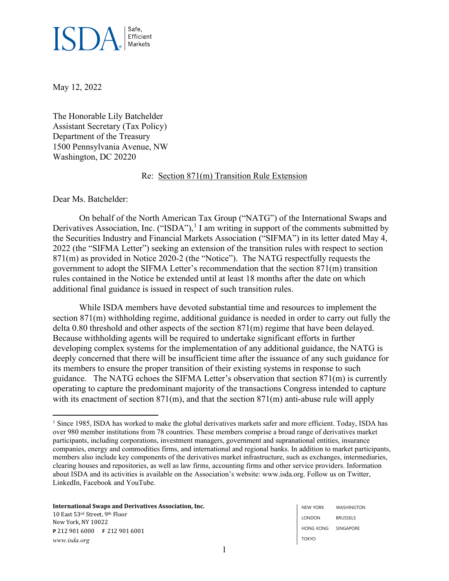

May 12, 2022

The Honorable Lily Batchelder Assistant Secretary (Tax Policy) Department of the Treasury 1500 Pennsylvania Avenue, NW Washington, DC 20220

## Re: Section 871(m) Transition Rule Extension

Dear Ms. Batchelder:

On behalf of the North American Tax Group ("NATG") of the International Swaps and Derivatives Association, Inc. ("ISDA"),<sup>[1](#page-0-0)</sup> I am writing in support of the comments submitted by the Securities Industry and Financial Markets Association ("SIFMA") in its letter dated May 4, 2022 (the "SIFMA Letter") seeking an extension of the transition rules with respect to section 871(m) as provided in Notice 2020-2 (the "Notice"). The NATG respectfully requests the government to adopt the SIFMA Letter's recommendation that the section 871(m) transition rules contained in the Notice be extended until at least 18 months after the date on which additional final guidance is issued in respect of such transition rules.

While ISDA members have devoted substantial time and resources to implement the section 871(m) withholding regime, additional guidance is needed in order to carry out fully the delta 0.80 threshold and other aspects of the section 871(m) regime that have been delayed. Because withholding agents will be required to undertake significant efforts in further developing complex systems for the implementation of any additional guidance, the NATG is deeply concerned that there will be insufficient time after the issuance of any such guidance for its members to ensure the proper transition of their existing systems in response to such guidance. The NATG echoes the SIFMA Letter's observation that section 871(m) is currently operating to capture the predominant majority of the transactions Congress intended to capture with its enactment of section 871(m), and that the section 871(m) anti-abuse rule will apply

**International Swaps and Derivatives Association, Inc.** 10 East 53rd Street, 9th Floor New York, NY 10022 **P** 212 901 6000 **F** 212 901 6001 *www.isda.org*

<span id="page-0-0"></span><sup>&</sup>lt;sup>1</sup> Since 1985, ISDA has worked to make the global derivatives markets safer and more efficient. Today, ISDA has over 980 member institutions from 78 countries. These members comprise a broad range of derivatives market participants, including corporations, investment managers, government and supranational entities, insurance companies, energy and commodities firms, and international and regional banks. In addition to market participants, members also include key components of the derivatives market infrastructure, such as exchanges, intermediaries, clearing houses and repositories, as well as law firms, accounting firms and other service providers. Information about ISDA and its activities is available on the Association's website: www.isda.org. Follow us on Twitter, LinkedIn, Facebook and YouTube.